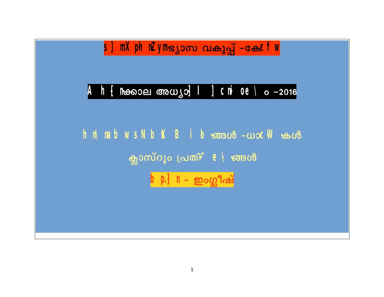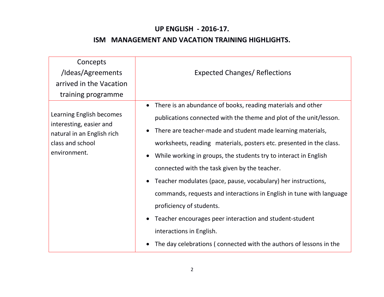## **UP ENGLISH - 2016-17.**

## **ISM MANAGEMENT AND VACATION TRAINING HIGHLIGHTS.**

| Concepts<br>/Ideas/Agreements<br>arrived in the Vacation<br>training programme                                        | <b>Expected Changes/ Reflections</b>                                                                                                                                                                                                                                                                                                                                                                                                                                                                                                                                                                                                                                                                                                        |
|-----------------------------------------------------------------------------------------------------------------------|---------------------------------------------------------------------------------------------------------------------------------------------------------------------------------------------------------------------------------------------------------------------------------------------------------------------------------------------------------------------------------------------------------------------------------------------------------------------------------------------------------------------------------------------------------------------------------------------------------------------------------------------------------------------------------------------------------------------------------------------|
| Learning English becomes<br>interesting, easier and<br>natural in an English rich<br>class and school<br>environment. | There is an abundance of books, reading materials and other<br>$\bullet$<br>publications connected with the theme and plot of the unit/lesson.<br>There are teacher-made and student made learning materials,<br>worksheets, reading materials, posters etc. presented in the class.<br>While working in groups, the students try to interact in English<br>connected with the task given by the teacher.<br>Teacher modulates (pace, pause, vocabulary) her instructions,<br>commands, requests and interactions in English in tune with language<br>proficiency of students.<br>Teacher encourages peer interaction and student-student<br>interactions in English.<br>The day celebrations (connected with the authors of lessons in the |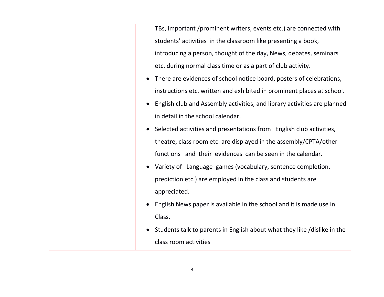TBs, important /prominent writers, events etc.) are connected with students' activities in the classroom like presenting a book, introducing a person, thought of the day, News, debates, seminars etc. during normal class time or as a part of club activity.

- There are evidences of school notice board, posters of celebrations, instructions etc. written and exhibited in prominent places at school.
- English club and Assembly activities, and library activities are planned in detail in the school calendar.
- Selected activities and presentations from English club activities, theatre, class room etc. are displayed in the assembly/CPTA/other functions and their evidences can be seen in the calendar.
- Variety of Language games (vocabulary, sentence completion, prediction etc.) are employed in the class and students are appreciated.
- English News paper is available in the school and it is made use in Class.
- Students talk to parents in English about what they like /dislike in the class room activities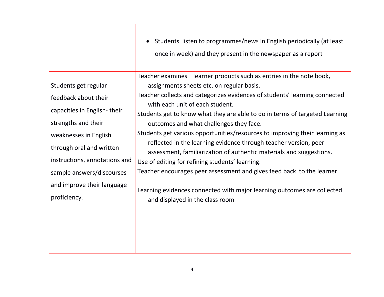|                                                                                                                                                                                                                                                                     | Students listen to programmes/news in English periodically (at least<br>$\bullet$<br>once in week) and they present in the newspaper as a report                                                                                                                                                                                                                                                                                                                                                                                                                                                                                                                                                                                                                                                                                |
|---------------------------------------------------------------------------------------------------------------------------------------------------------------------------------------------------------------------------------------------------------------------|---------------------------------------------------------------------------------------------------------------------------------------------------------------------------------------------------------------------------------------------------------------------------------------------------------------------------------------------------------------------------------------------------------------------------------------------------------------------------------------------------------------------------------------------------------------------------------------------------------------------------------------------------------------------------------------------------------------------------------------------------------------------------------------------------------------------------------|
| Students get regular<br>feedback about their<br>capacities in English-their<br>strengths and their<br>weaknesses in English<br>through oral and written<br>instructions, annotations and<br>sample answers/discourses<br>and improve their language<br>proficiency. | Teacher examines learner products such as entries in the note book,<br>assignments sheets etc. on regular basis.<br>Teacher collects and categorizes evidences of students' learning connected<br>with each unit of each student.<br>Students get to know what they are able to do in terms of targeted Learning<br>outcomes and what challenges they face.<br>Students get various opportunities/resources to improving their learning as<br>reflected in the learning evidence through teacher version, peer<br>assessment, familiarization of authentic materials and suggestions.<br>Use of editing for refining students' learning.<br>Teacher encourages peer assessment and gives feed back to the learner<br>Learning evidences connected with major learning outcomes are collected<br>and displayed in the class room |
|                                                                                                                                                                                                                                                                     |                                                                                                                                                                                                                                                                                                                                                                                                                                                                                                                                                                                                                                                                                                                                                                                                                                 |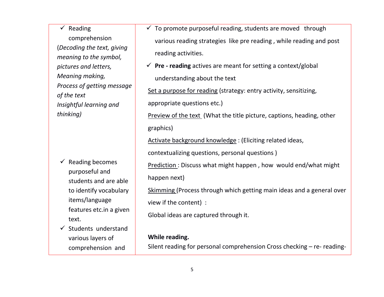$\checkmark$  Reading comprehension (*Decoding the text, giving meaning to the symbol, pictures and letters, Meaning making, Process of getting message of the text Insightful learning and thinking)*

- $\checkmark$  Reading becomes purposeful and students and are able to identify vocabulary items/language features etc.in a given text.
- $\checkmark$  Students understand various layers of comprehension and
- $\checkmark$  To promote purposeful reading, students are moved through various reading strategies like pre reading , while reading and post reading activities.
- $\checkmark$  **Pre reading** actives are meant for setting a context/global understanding about the text

Set a purpose for reading (strategy: entry activity, sensitizing,

appropriate questions etc.)

Preview of the text (What the title picture, captions, heading, other graphics)

Activate background knowledge : (Eliciting related ideas,

contextualizing questions, personal questions )

Prediction : Discuss what might happen , how would end/what might happen next)

Skimming (Process through which getting main ideas and a general over view if the content) :

Global ideas are captured through it.

## **While reading.**

Silent reading for personal comprehension Cross checking – re- reading-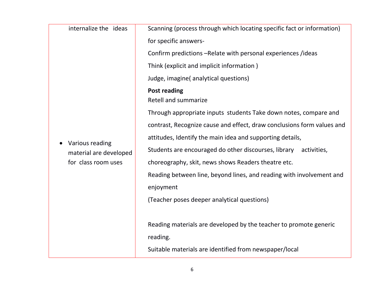| internalize the ideas                                            |                                                                        |  |
|------------------------------------------------------------------|------------------------------------------------------------------------|--|
| Various reading<br>material are developed<br>for class room uses | Scanning (process through which locating specific fact or information) |  |
|                                                                  | for specific answers-                                                  |  |
|                                                                  | Confirm predictions -Relate with personal experiences /ideas           |  |
|                                                                  | Think (explicit and implicit information)                              |  |
|                                                                  | Judge, imagine(analytical questions)                                   |  |
|                                                                  | <b>Post reading</b><br><b>Retell and summarize</b>                     |  |
|                                                                  | Through appropriate inputs students Take down notes, compare and       |  |
|                                                                  | contrast, Recognize cause and effect, draw conclusions form values and |  |
|                                                                  | attitudes, Identify the main idea and supporting details,              |  |
|                                                                  | Students are encouraged do other discourses, library<br>activities,    |  |
|                                                                  | choreography, skit, news shows Readers theatre etc.                    |  |
|                                                                  | Reading between line, beyond lines, and reading with involvement and   |  |
|                                                                  | enjoyment                                                              |  |
|                                                                  | (Teacher poses deeper analytical questions)                            |  |
|                                                                  |                                                                        |  |
|                                                                  | Reading materials are developed by the teacher to promote generic      |  |
|                                                                  | reading.                                                               |  |
|                                                                  | Suitable materials are identified from newspaper/local                 |  |
|                                                                  |                                                                        |  |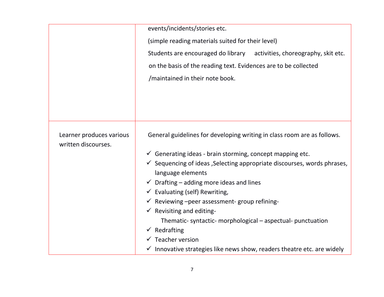|                                                 | events/incidents/stories etc.<br>(simple reading materials suited for their level)<br>Students are encouraged do library activities, choreography, skit etc.<br>on the basis of the reading text. Evidences are to be collected<br>/maintained in their note book.                                                                                                                                                                                                                                                                                                                                                                                                             |  |
|-------------------------------------------------|--------------------------------------------------------------------------------------------------------------------------------------------------------------------------------------------------------------------------------------------------------------------------------------------------------------------------------------------------------------------------------------------------------------------------------------------------------------------------------------------------------------------------------------------------------------------------------------------------------------------------------------------------------------------------------|--|
| Learner produces various<br>written discourses. | General guidelines for developing writing in class room are as follows.<br>$\checkmark$ Generating ideas - brain storming, concept mapping etc.<br>$\checkmark$ Sequencing of ideas, Selecting appropriate discourses, words phrases,<br>language elements<br>$\checkmark$ Drafting – adding more ideas and lines<br>$\checkmark$ Evaluating (self) Rewriting,<br>$\checkmark$ Reviewing -peer assessment-group refining-<br>$\checkmark$ Revisiting and editing-<br>Thematic-syntactic-morphological – aspectual-punctuation<br>$\checkmark$ Redrafting<br>$\checkmark$ Teacher version<br>$\checkmark$ Innovative strategies like news show, readers theatre etc. are widely |  |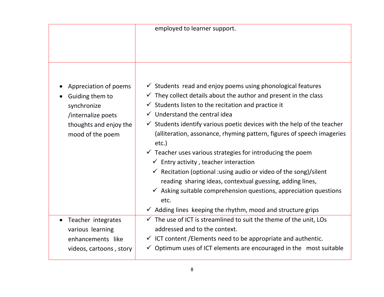|                                                                                                                             | employed to learner support.                                                                                                                                                                                                                                                                                                                                                                                                                                                                                                                                                                                                                                                                                                                                                                                      |
|-----------------------------------------------------------------------------------------------------------------------------|-------------------------------------------------------------------------------------------------------------------------------------------------------------------------------------------------------------------------------------------------------------------------------------------------------------------------------------------------------------------------------------------------------------------------------------------------------------------------------------------------------------------------------------------------------------------------------------------------------------------------------------------------------------------------------------------------------------------------------------------------------------------------------------------------------------------|
|                                                                                                                             |                                                                                                                                                                                                                                                                                                                                                                                                                                                                                                                                                                                                                                                                                                                                                                                                                   |
| Appreciation of poems<br>Guiding them to<br>synchronize<br>/internalize poets<br>thoughts and enjoy the<br>mood of the poem | $\checkmark$ Students read and enjoy poems using phonological features<br>$\checkmark$ They collect details about the author and present in the class<br>$\checkmark$ Students listen to the recitation and practice it<br>$\checkmark$ Understand the central idea<br>$\checkmark$ Students identify various poetic devices with the help of the teacher<br>(alliteration, assonance, rhyming pattern, figures of speech imageries<br>$etc.$ )<br>$\checkmark$ Teacher uses various strategies for introducing the poem<br>$\checkmark$ Entry activity, teacher interaction<br>$\checkmark$ Recitation (optional : using audio or video of the song)/silent<br>reading sharing ideas, contextual guessing, adding lines,<br>$\checkmark$ Asking suitable comprehension questions, appreciation questions<br>etc. |
| Teacher integrates                                                                                                          | $\checkmark$ Adding lines keeping the rhythm, mood and structure grips<br>$\checkmark$ The use of ICT is streamlined to suit the theme of the unit, LOs                                                                                                                                                                                                                                                                                                                                                                                                                                                                                                                                                                                                                                                           |
| various learning                                                                                                            | addressed and to the context.                                                                                                                                                                                                                                                                                                                                                                                                                                                                                                                                                                                                                                                                                                                                                                                     |
| enhancements like<br>videos, cartoons, story                                                                                | $\checkmark$ ICT content / Elements need to be appropriate and authentic.<br>$\checkmark$ Optimum uses of ICT elements are encouraged in the most suitable                                                                                                                                                                                                                                                                                                                                                                                                                                                                                                                                                                                                                                                        |